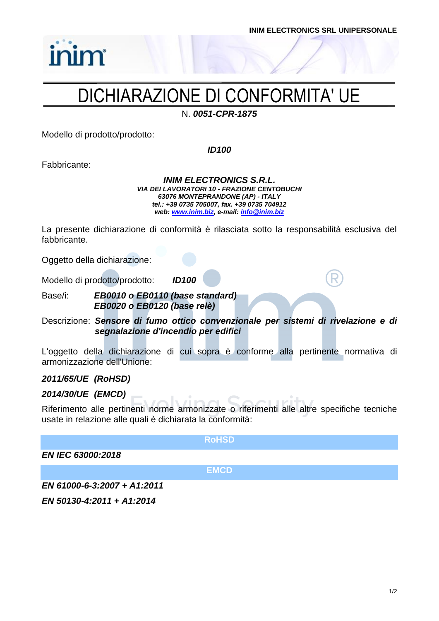

### DICHIARAZIONE DI CONFORMITA' UE

N. *0051-CPR-1875*

Modello di prodotto/prodotto:

*ID100*

Fabbricante:

*INIM ELECTRONICS S.R.L. VIA DEI LAVORATORI 10 - FRAZIONE CENTOBUCHI 63076 MONTEPRANDONE (AP) - ITALY tel.: +39 0735 705007, fax. +39 0735 704912 web: [www.inim.biz,](http://www.inim.biz/) e-mail[: info@inim.biz](mailto:info@inim.biz)*

La presente dichiarazione di conformità è rilasciata sotto la responsabilità esclusiva del fabbricante.

Oggetto della dichiarazione:

Modello di prodotto/prodotto: *ID100*

Base/i: *EB0010 o EB0110 (base standard) EB0020 o EB0120 (base relè)*

Descrizione: *Sensore di fumo ottico convenzionale per sistemi di rivelazione e di segnalazione d'incendio per edifici*

L'oggetto della dichiarazione di cui sopra è conforme alla pertinente normativa di armonizzazione dell'Unione:

### *2011/65/UE (RoHSD)*

### *2014/30/UE (EMCD)*

Riferimento alle pertinenti norme armonizzate o riferimenti alle altre specifiche tecniche usate in relazione alle quali è dichiarata la conformità:

**RoHSD**

*EN IEC 63000:2018*

**EMCD**

*EN 61000-6-3:2007 + A1:2011*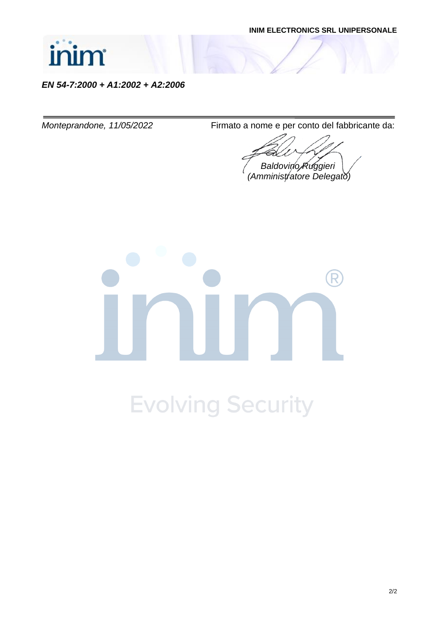

*EN 54-7:2000 + A1:2002 + A2:2006*

*Monteprandone, 11/05/2022* Firmato a nome e per conto del fabbricante da:

*Baldovino Ruggieri (Amministratore Delegato)*

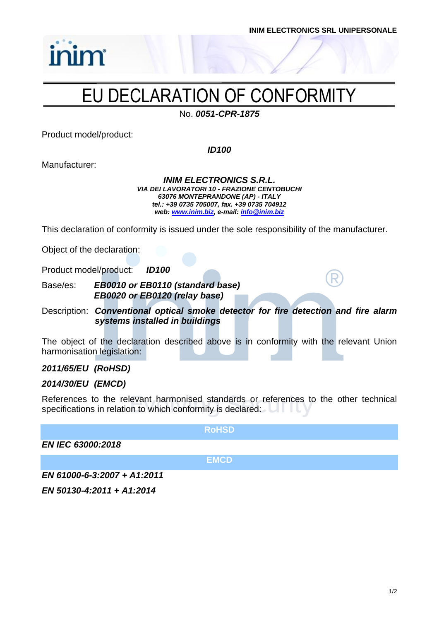

## EU DECLARATION OF CONFORMITY

No. *0051-CPR-1875*

Product model/product:

*inim* 

*ID100*

Manufacturer:

*INIM ELECTRONICS S.R.L. VIA DEI LAVORATORI 10 - FRAZIONE CENTOBUCHI 63076 MONTEPRANDONE (AP) - ITALY tel.: +39 0735 705007, fax. +39 0735 704912 web: [www.inim.biz,](http://www.inim.biz/) e-mail[: info@inim.biz](mailto:info@inim.biz)*

This declaration of conformity is issued under the sole responsibility of the manufacturer.

Object of the declaration:

Product model/product: *ID100*

Base/es: *EB0010 or EB0110 (standard base) EB0020 or EB0120 (relay base)*

Description: *Conventional optical smoke detector for fire detection and fire alarm systems installed in buildings*

The object of the declaration described above is in conformity with the relevant Union harmonisation legislation:

### *2011/65/EU (RoHSD)*

### *2014/30/EU (EMCD)*

References to the relevant harmonised standards or references to the other technical specifications in relation to which conformity is declared:

**RoHSD**

*EN IEC 63000:2018*

**EMCD**

*EN 61000-6-3:2007 + A1:2011*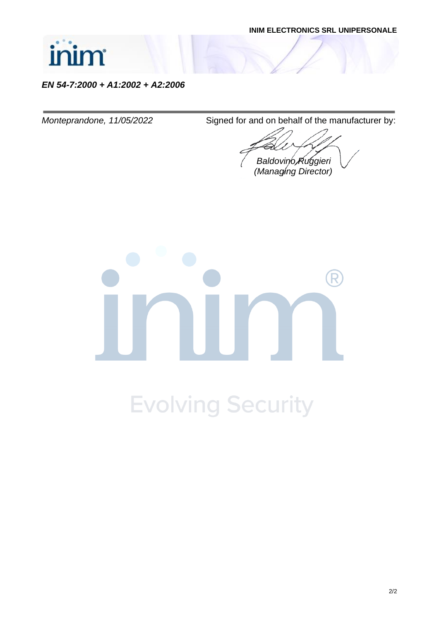

*EN 54-7:2000 + A1:2002 + A2:2006*

*Monteprandone, 11/05/2022* Signed for and on behalf of the manufacturer by:

*Baldovino Ruggieri (Managing Director)*

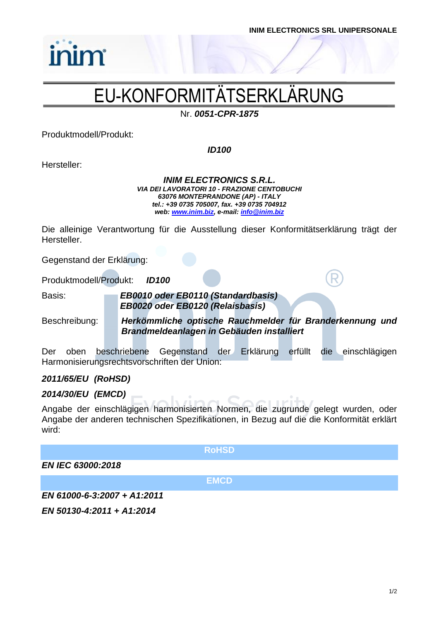

# EU-KONFORMITÄTSERKLÄRUNG

Nr. *0051-CPR-1875*

Produktmodell/Produkt:

inim

*ID100*

Hersteller:

*INIM ELECTRONICS S.R.L. VIA DEI LAVORATORI 10 - FRAZIONE CENTOBUCHI 63076 MONTEPRANDONE (AP) - ITALY tel.: +39 0735 705007, fax. +39 0735 704912 web: [www.inim.biz,](http://www.inim.biz/) e-mail[: info@inim.biz](mailto:info@inim.biz)*

Die alleinige Verantwortung für die Ausstellung dieser Konformitätserklärung trägt der Hersteller.

Gegenstand der Erklärung:

Produktmodell/Produkt: *ID100*

Basis: *EB0010 oder EB0110 (Standardbasis) EB0020 oder EB0120 (Relaisbasis)*

Beschreibung: *Herkömmliche optische Rauchmelder für Branderkennung und Brandmeldeanlagen in Gebäuden installiert*

Der oben beschriebene Gegenstand der Erklärung erfüllt die einschlägigen Harmonisierungsrechtsvorschriften der Union:

### *2011/65/EU (RoHSD)*

### *2014/30/EU (EMCD)*

Angabe der einschlägigen harmonisierten Normen, die zugrunde gelegt wurden, oder Angabe der anderen technischen Spezifikationen, in Bezug auf die die Konformität erklärt wird:

#### **RoHSD**

### *EN IEC 63000:2018*

**EMCD**

*EN 61000-6-3:2007 + A1:2011*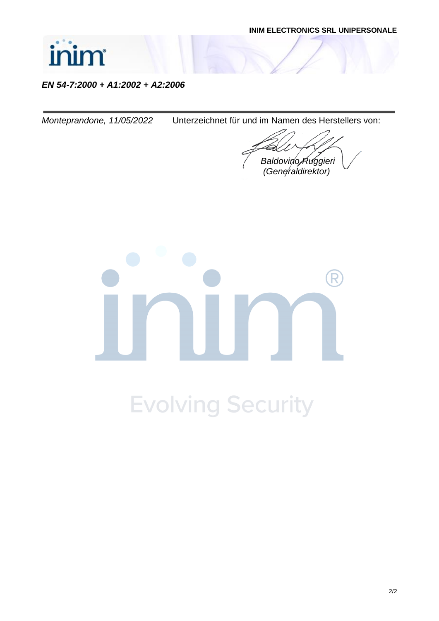

### *EN 54-7:2000 + A1:2002 + A2:2006*

*Monteprandone, 11/05/2022* Unterzeichnet für und im Namen des Herstellers von:

*Baldovino Ruggieri (Generaldirektor)*

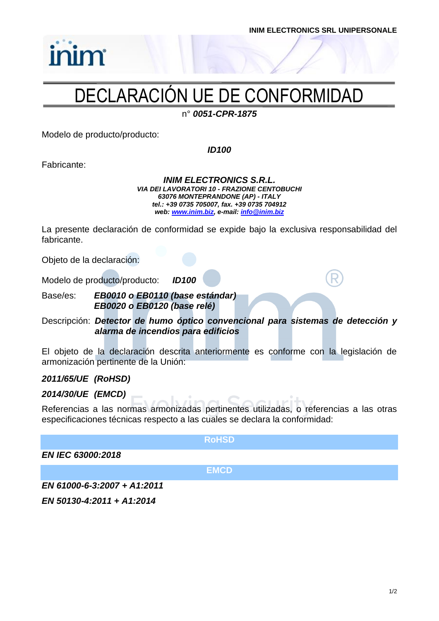

# inim

# DECLARACIÓN UE DE CONFORMIDAD

n° *0051-CPR-1875*

Modelo de producto/producto:

*ID100*

Fabricante:

*INIM ELECTRONICS S.R.L. VIA DEI LAVORATORI 10 - FRAZIONE CENTOBUCHI 63076 MONTEPRANDONE (AP) - ITALY tel.: +39 0735 705007, fax. +39 0735 704912 web: [www.inim.biz,](http://www.inim.biz/) e-mail[: info@inim.biz](mailto:info@inim.biz)*

La presente declaración de conformidad se expide bajo la exclusiva responsabilidad del fabricante.

Objeto de la declaración:

Modelo de producto/producto: *ID100*

Base/es: *EB0010 o EB0110 (base estándar) EB0020 o EB0120 (base relé)*

Descripción: *Detector de humo óptico convencional para sistemas de detección y alarma de incendios para edificios*

El objeto de la declaración descrita anteriormente es conforme con la legislación de armonización pertinente de la Unión:

### *2011/65/UE (RoHSD)*

### *2014/30/UE (EMCD)*

Referencias a las normas armonizadas pertinentes utilizadas, o referencias a las otras especificaciones técnicas respecto a las cuales se declara la conformidad:

**RoHSD**

*EN IEC 63000:2018*

**EMCD**

*EN 61000-6-3:2007 + A1:2011*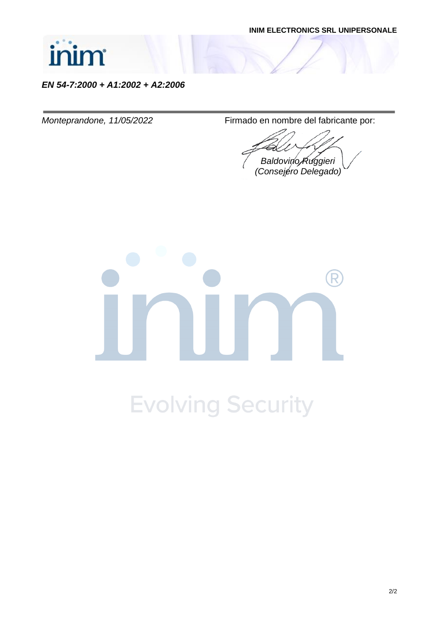

*EN 54-7:2000 + A1:2002 + A2:2006*

*Monteprandone, 11/05/2022* Firmado en nombre del fabricante por:

*Baldovino Ruggieri (Consejero Delegado)*

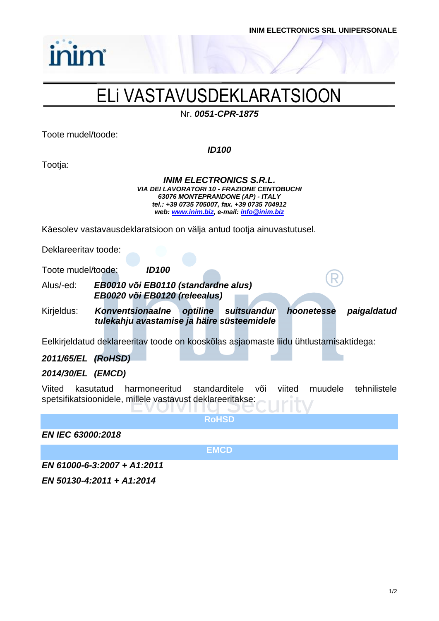

## ELi VASTAVUSDEKLARATSIOON

Nr. *0051-CPR-1875*

Toote mudel/toode:

inim

*ID100*

Tootja:

*INIM ELECTRONICS S.R.L. VIA DEI LAVORATORI 10 - FRAZIONE CENTOBUCHI 63076 MONTEPRANDONE (AP) - ITALY tel.: +39 0735 705007, fax. +39 0735 704912 web: [www.inim.biz,](http://www.inim.biz/) e-mail[: info@inim.biz](mailto:info@inim.biz)*

Käesolev vastavausdeklaratsioon on välja antud tootja ainuvastutusel.

Deklareeritav toode:

Toote mudel/toode: *ID100*

Alus/-ed: *EB0010 või EB0110 (standardne alus) EB0020 või EB0120 (releealus)*

Kirjeldus: *Konventsionaalne optiline suitsuandur hoonetesse paigaldatud tulekahju avastamise ja häire süsteemidele*

Eelkirjeldatud deklareeritav toode on kooskõlas asjaomaste liidu ühtlustamisaktidega:

### *2011/65/EL (RoHSD)*

### *2014/30/EL (EMCD)*

Viited kasutatud harmoneeritud standarditele või viited muudele tehnilistele spetsifikatsioonidele, millele vastavust deklareeritakse:

**RoHSD**

*EN IEC 63000:2018*

**EMCD**

*EN 61000-6-3:2007 + A1:2011*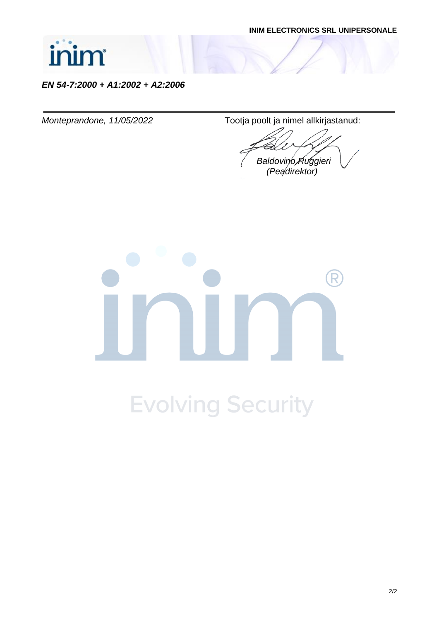

*EN 54-7:2000 + A1:2002 + A2:2006*

*Monteprandone, 11/05/2022* Tootja poolt ja nimel allkirjastanud:

*Baldovino Ruggieri (Peadirektor)*

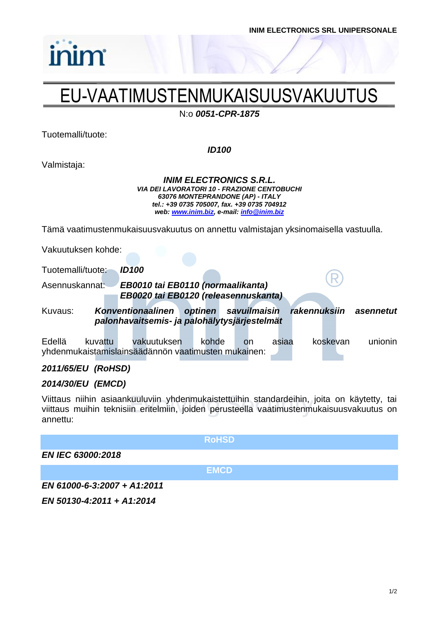

# EU-VAATIMUSTENMUKAISUUSVAKUUTUS

N:o *0051-CPR-1875*

Tuotemalli/tuote:

*inim* 

*ID100*

Valmistaja:

*INIM ELECTRONICS S.R.L. VIA DEI LAVORATORI 10 - FRAZIONE CENTOBUCHI 63076 MONTEPRANDONE (AP) - ITALY tel.: +39 0735 705007, fax. +39 0735 704912 web: [www.inim.biz,](http://www.inim.biz/) e-mail[: info@inim.biz](mailto:info@inim.biz)*

Tämä vaatimustenmukaisuusvakuutus on annettu valmistajan yksinomaisella vastuulla.

Vakuutuksen kohde:

Tuotemalli/tuote: *ID100*

Asennuskannat: *EB0010 tai EB0110 (normaalikanta) EB0020 tai EB0120 (releasennuskanta)*

Kuvaus: *Konventionaalinen optinen savuilmaisin rakennuksiin asennetut palonhavaitsemis- ja palohälytysjärjestelmät*

Edellä kuvattu vakuutuksen kohde on asiaa koskevan unionin yhdenmukaistamislainsäädännön vaatimusten mukainen:

### *2011/65/EU (RoHSD)*

### *2014/30/EU (EMCD)*

Viittaus niihin asiaankuuluviin yhdenmukaistettuihin standardeihin, joita on käytetty, tai viittaus muihin teknisiin eritelmiin, joiden perusteella vaatimustenmukaisuusvakuutus on annettu:

|                             | <b>RoHSD</b> |
|-----------------------------|--------------|
| <b>EN IEC 63000:2018</b>    |              |
|                             | <b>EMCD</b>  |
| EN 61000-6-3:2007 + A1:2011 |              |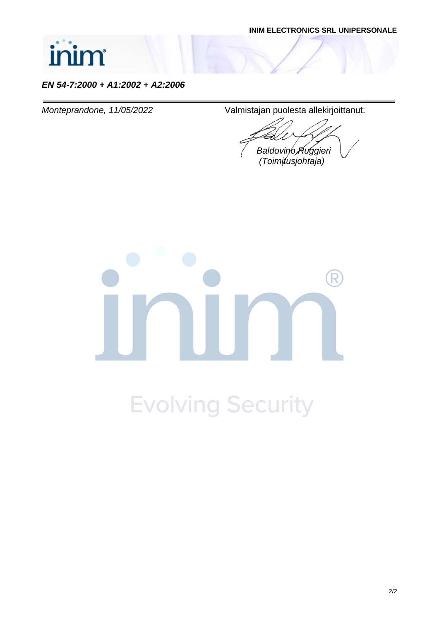

### *EN 54-7:2000 + A1:2002 + A2:2006*

*Monteprandone, 11/05/2022* Valmistajan puolesta allekirjoittanut:

*Baldovino Ruggieri*

 *(Toimitusjohtaja)*

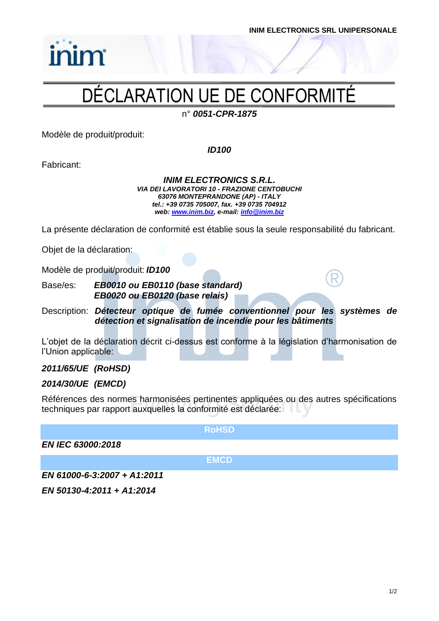

# inim

# DÉCLARATION UE DE CONFORMITÉ

n° *0051-CPR-1875*

Modèle de produit/produit:

*ID100*

Fabricant:

*INIM ELECTRONICS S.R.L. VIA DEI LAVORATORI 10 - FRAZIONE CENTOBUCHI 63076 MONTEPRANDONE (AP) - ITALY tel.: +39 0735 705007, fax. +39 0735 704912 web: [www.inim.biz,](http://www.inim.biz/) e-mail[: info@inim.biz](mailto:info@inim.biz)*

La présente déclaration de conformité est établie sous la seule responsabilité du fabricant.

Objet de la déclaration:

Modèle de produit/produit: *ID100*

Base/es: *EB0010 ou EB0110 (base standard) EB0020 ou EB0120 (base relais)*

Description: *Détecteur optique de fumée conventionnel pour les systèmes de détection et signalisation de incendie pour les bâtiments*

L'objet de la déclaration décrit ci-dessus est conforme à la législation d'harmonisation de l'Union applicable:

### *2011/65/UE (RoHSD)*

### *2014/30/UE (EMCD)*

Références des normes harmonisées pertinentes appliquées ou des autres spécifications techniques par rapport auxquelles la conformité est déclarée:

**RoHSD**

*EN IEC 63000:2018*

**EMCD**

*EN 61000-6-3:2007 + A1:2011*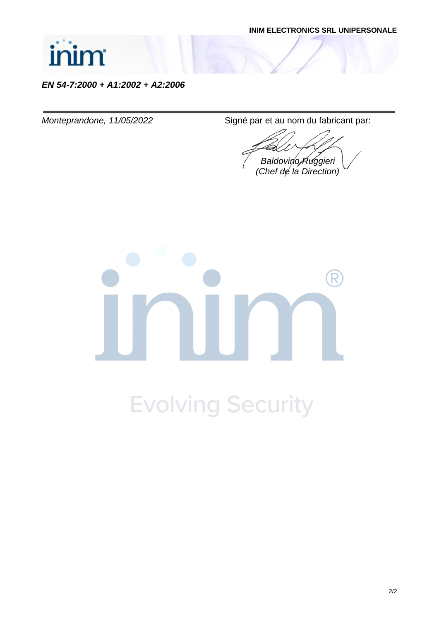

*EN 54-7:2000 + A1:2002 + A2:2006*

*Monteprandone, 11/05/2022* Signé par et au nom du fabricant par:

*Baldovino Ruggieri (Chef de la Direction)*

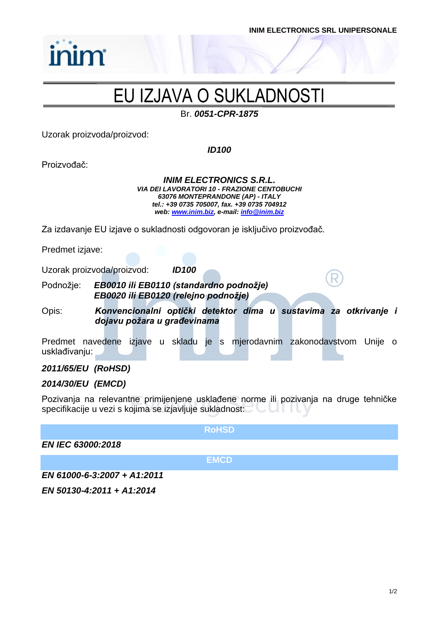

### EU IZJAVA O SUKLADNOSTI

Br. *0051-CPR-1875*

Uzorak proizvoda/proizvod:

*ID100*

Proizvođač:

*INIM ELECTRONICS S.R.L. VIA DEI LAVORATORI 10 - FRAZIONE CENTOBUCHI 63076 MONTEPRANDONE (AP) - ITALY tel.: +39 0735 705007, fax. +39 0735 704912 web: [www.inim.biz,](http://www.inim.biz/) e-mail[: info@inim.biz](mailto:info@inim.biz)*

Za izdavanje EU izjave o sukladnosti odgovoran je isključivo proizvođač.

Predmet izjave:

Uzorak proizvoda/proizvod: *ID100*

Podnožje: *EB0010 ili EB0110 (standardno podnožje) EB0020 ili EB0120 (relejno podnožje)*

Opis: *Konvencionalni optički detektor dima u sustavima za otkrivanje i dojavu požara u građevinama*

Predmet navedene izjave u skladu je s mjerodavnim zakonodavstvom Unije o usklađivanju:

### *2011/65/EU (RoHSD)*

#### *2014/30/EU (EMCD)*

Pozivanja na relevantne primijenjene usklađene norme ili pozivanja na druge tehničke specifikacije u vezi s kojima se izjavljuje sukladnost:

**RoHSD**

*EN IEC 63000:2018*

**EMCD**

*EN 61000-6-3:2007 + A1:2011*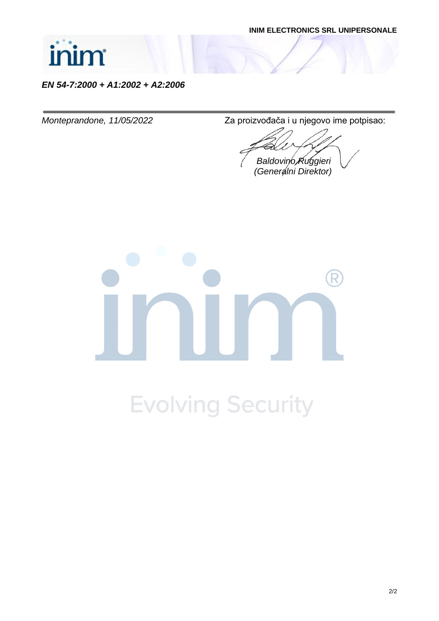

*EN 54-7:2000 + A1:2002 + A2:2006*

*Monteprandone, 11/05/2022* Za proizvođača i u njegovo ime potpisao:

*Baldovino Ruggieri (Generalni Direktor)*

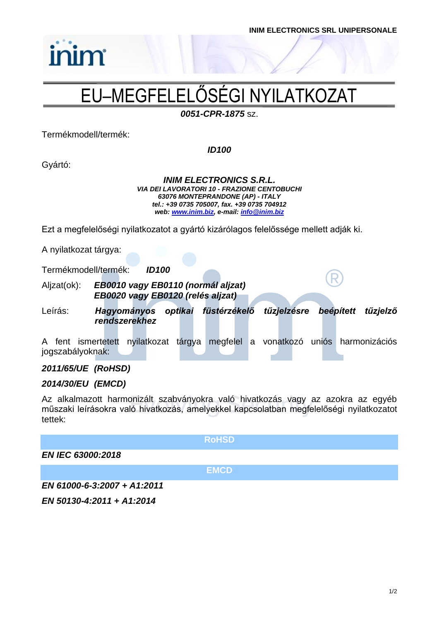

# EU–MEGFELELŐSÉGI NYILATKOZAT

*0051-CPR-1875* sz.

Termékmodell/termék:

inim

*ID100*

Gyártó:

*INIM ELECTRONICS S.R.L. VIA DEI LAVORATORI 10 - FRAZIONE CENTOBUCHI 63076 MONTEPRANDONE (AP) - ITALY tel.: +39 0735 705007, fax. +39 0735 704912 web: [www.inim.biz,](http://www.inim.biz/) e-mail[: info@inim.biz](mailto:info@inim.biz)*

Ezt a megfelelőségi nyilatkozatot a gyártó kizárólagos felelőssége mellett adják ki.

A nyilatkozat tárgya:

Termékmodell/termék: *ID100*

Aljzat(ok): *EB0010 vagy EB0110 (normál aljzat) EB0020 vagy EB0120 (relés aljzat)*

Leírás: *Hagyományos optikai füstérzékelő tűzjelzésre beépített tűzjelző rendszerekhez*

A fent ismertetett nyilatkozat tárgya megfelel a vonatkozó uniós harmonizációs jogszabályoknak:

### *2011/65/UE (RoHSD)*

### *2014/30/EU (EMCD)*

Az alkalmazott harmonizált szabványokra való hivatkozás vagy az azokra az egyéb műszaki leírásokra való hivatkozás, amelyekkel kapcsolatban megfelelőségi nyilatkozatot tettek:

**RoHSD**

*EN IEC 63000:2018*

**EMCD**

*EN 61000-6-3:2007 + A1:2011*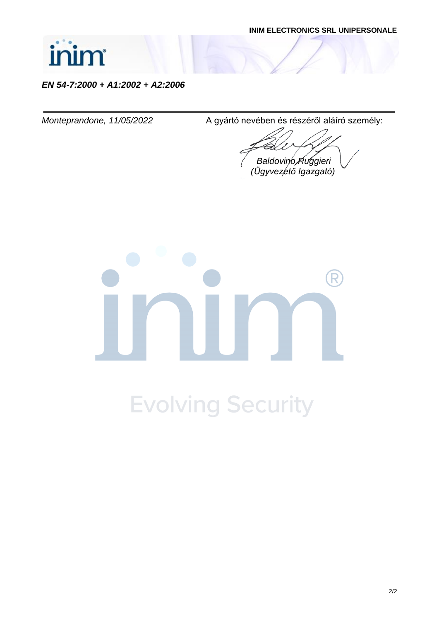

*EN 54-7:2000 + A1:2002 + A2:2006*

*Monteprandone, 11/05/2022* A gyártó nevében és részéről aláíró személy:

*Baldovino Ruggieri (Ügyvezető Igazgató)*

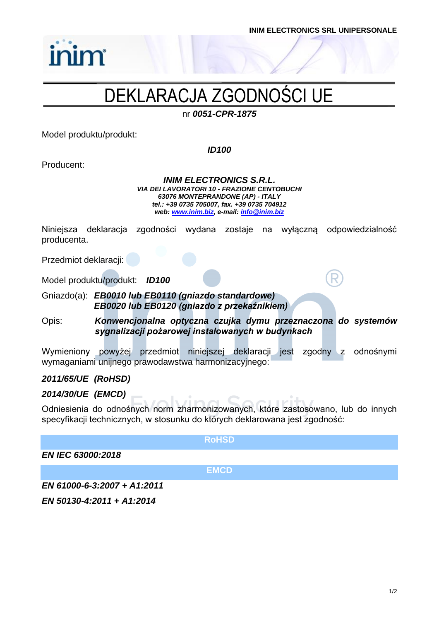# DEKLARACJA ZGODNOŚCI UE

nr *0051-CPR-1875*

Model produktu/produkt:

inim

*ID100*

Producent:

*INIM ELECTRONICS S.R.L. VIA DEI LAVORATORI 10 - FRAZIONE CENTOBUCHI 63076 MONTEPRANDONE (AP) - ITALY tel.: +39 0735 705007, fax. +39 0735 704912 web: [www.inim.biz,](http://www.inim.biz/) e-mail[: info@inim.biz](mailto:info@inim.biz)*

Niniejsza deklaracja zgodności wydana zostaje na wyłączną odpowiedzialność producenta.

Przedmiot deklaracji:

Model produktu/produkt: *ID100*

Gniazdo(a): *EB0010 lub EB0110 (gniazdo standardowe) EB0020 lub EB0120 (gniazdo z przekaźnikiem)*

Opis: *Konwencjonalna optyczna czujka dymu przeznaczona do systemów sygnalizacji pożarowej instalowanych w budynkach*

Wymieniony powyżej przedmiot niniejszej deklaracji jest zgodny z odnośnymi wymaganiami unijnego prawodawstwa harmonizacyjnego:

### *2011/65/UE (RoHSD)*

### *2014/30/UE (EMCD)*

Odniesienia do odnośnych norm zharmonizowanych, które zastosowano, lub do innych specyfikacji technicznych, w stosunku do których deklarowana jest zgodność:

**RoHSD**

*EN IEC 63000:2018*

**EMCD**

*EN 61000-6-3:2007 + A1:2011*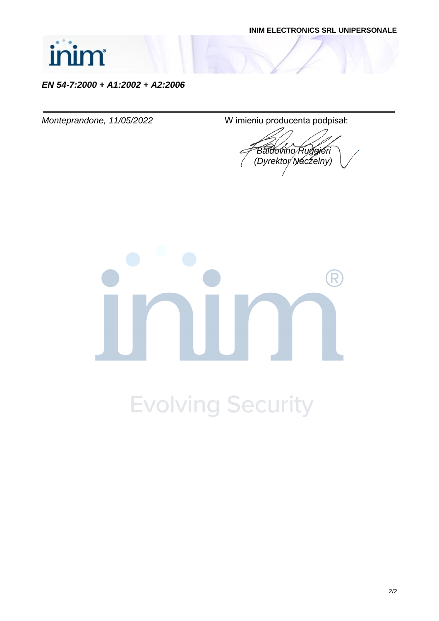

*EN 54-7:2000 + A1:2002 + A2:2006*

*Monteprandone, 11/05/2022* W imieniu producenta podpisał:

*Baldovino Ruggieri (Dyrektor Naczelny)*

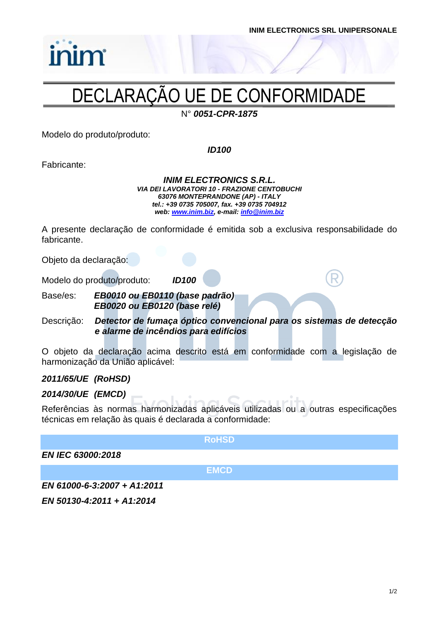

# inim

### DECLARAÇÃO UE DE CONFORMIDADE

N° *0051-CPR-1875*

Modelo do produto/produto:

*ID100*

Fabricante:

*INIM ELECTRONICS S.R.L. VIA DEI LAVORATORI 10 - FRAZIONE CENTOBUCHI 63076 MONTEPRANDONE (AP) - ITALY tel.: +39 0735 705007, fax. +39 0735 704912 web: [www.inim.biz,](http://www.inim.biz/) e-mail[: info@inim.biz](mailto:info@inim.biz)*

A presente declaração de conformidade é emitida sob a exclusiva responsabilidade do fabricante.

Objeto da declaração:

Modelo do produto/produto: *ID100*

Base/es: *EB0010 ou EB0110 (base padrão) EB0020 ou EB0120 (base relé)*

Descrição: *Detector de fumaça óptico convencional para os sistemas de detecção e alarme de incêndios para edifícios*

O objeto da declaração acima descrito está em conformidade com a legislação de harmonização da União aplicável:

### *2011/65/UE (RoHSD)*

### *2014/30/UE (EMCD)*

Referências às normas harmonizadas aplicáveis utilizadas ou a outras especificações técnicas em relação às quais é declarada a conformidade:

**RoHSD**

*EN IEC 63000:2018*

**EMCD**

*EN 61000-6-3:2007 + A1:2011*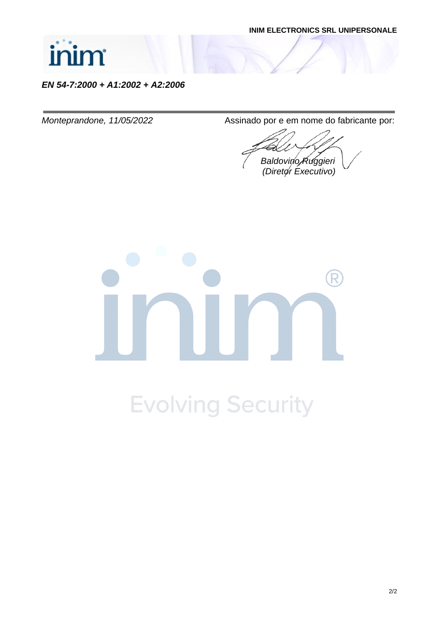

*EN 54-7:2000 + A1:2002 + A2:2006*

*Monteprandone, 11/05/2022* Assinado por e em nome do fabricante por:

*Baldovino Ruggieri (Diretor Executivo)*

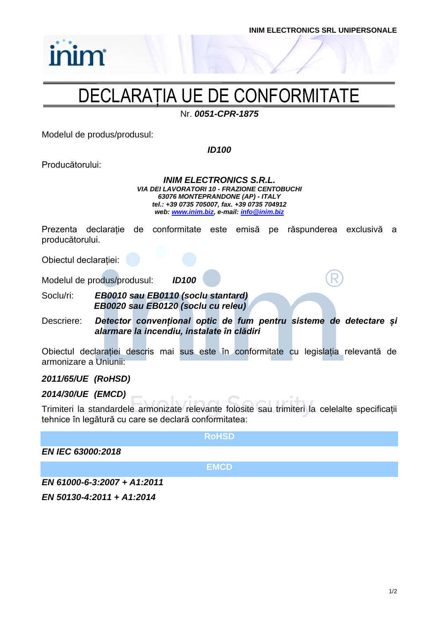

### DECLARAȚIA UE DE CONFORMITATE

Nr. *0051-CPR-1875*

Modelul de produs/produsul:

*ID100*

Producătorului:

*INIM ELECTRONICS S.R.L. VIA DEI LAVORATORI 10 - FRAZIONE CENTOBUCHI 63076 MONTEPRANDONE (AP) - ITALY tel.: +39 0735 705007, fax. +39 0735 704912 web: [www.inim.biz,](http://www.inim.biz/) e-mail[: info@inim.biz](mailto:info@inim.biz)*

Prezenta declarație de conformitate este emisă pe răspunderea exclusivă a producătorului.

Obiectul declarației:

Modelul de produs/produsul: *ID100*

Soclu/ri: *EB0010 sau EB0110 (soclu stantard) EB0020 sau EB0120 (soclu cu releu)*

Descriere: *Detector convențional optic de fum pentru sisteme de detectare și alarmare la incendiu, instalate în clădiri*

Obiectul declarației descris mai sus este în conformitate cu legislația relevantă de armonizare a Uniunii:

### *2011/65/UE (RoHSD)*

### *2014/30/UE (EMCD)*

Trimiteri la standardele armonizate relevante folosite sau trimiteri la celelalte specificații tehnice în legătură cu care se declară conformitatea:

**RoHSD**

*EN IEC 63000:2018*

**EMCD**

*EN 61000-6-3:2007 + A1:2011*